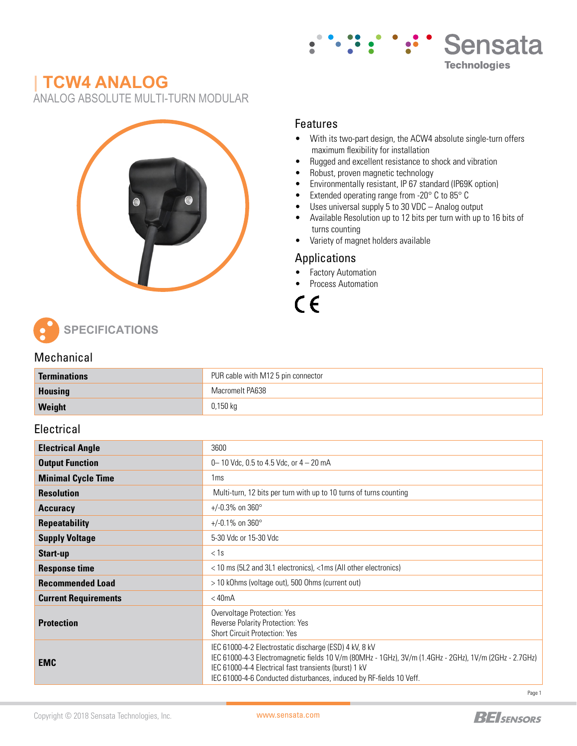

# **| TCW4 ANALOG**

ANALOG ABSOLUTE MULTI-TURN MODULAR



### Features

- With its two-part design, the ACW4 absolute single-turn offers maximum flexibility for installation
- Rugged and excellent resistance to shock and vibration
- Robust, proven magnetic technology
- Environmentally resistant, IP 67 standard (IP69K option)
- Extended operating range from -20° C to 85° C
- Uses universal supply 5 to 30 VDC Analog output
- Available Resolution up to 12 bits per turn with up to 16 bits of turns counting
- Variety of magnet holders available

### Applications

- Factory Automation
- Process Automation

 $\epsilon$ 

**SPECIFICATIONS**

#### Mechanical

| <b>Terminations</b> | PUR cable with M12 5 pin connector |  |  |  |  |
|---------------------|------------------------------------|--|--|--|--|
| <b>Housing</b>      | Macromelt PA638                    |  |  |  |  |
| Weight              | 0,150 kg                           |  |  |  |  |

### **Electrical**

| <b>Electrical Angle</b>     | 3600                                                                                                                                                                                                                                                                                             |  |  |  |  |  |
|-----------------------------|--------------------------------------------------------------------------------------------------------------------------------------------------------------------------------------------------------------------------------------------------------------------------------------------------|--|--|--|--|--|
| <b>Output Function</b>      | 0 - 10 Vdc, 0.5 to 4.5 Vdc, or $4 - 20$ mA                                                                                                                                                                                                                                                       |  |  |  |  |  |
| <b>Minimal Cycle Time</b>   | 1 <sub>ms</sub>                                                                                                                                                                                                                                                                                  |  |  |  |  |  |
| <b>Resolution</b>           | Multi-turn, 12 bits per turn with up to 10 turns of turns counting                                                                                                                                                                                                                               |  |  |  |  |  |
| <b>Accuracy</b>             | +/-0.3% on $360^{\circ}$                                                                                                                                                                                                                                                                         |  |  |  |  |  |
| <b>Repeatability</b>        | +/-0.1% on $360^{\circ}$                                                                                                                                                                                                                                                                         |  |  |  |  |  |
| <b>Supply Voltage</b>       | 5-30 Vdc or 15-30 Vdc                                                                                                                                                                                                                                                                            |  |  |  |  |  |
| Start-up                    | < 1s                                                                                                                                                                                                                                                                                             |  |  |  |  |  |
| <b>Response time</b>        | < 10 ms (5L2 and 3L1 electronics), <1ms (All other electronics)                                                                                                                                                                                                                                  |  |  |  |  |  |
| <b>Recommended Load</b>     | > 10 kOhms (voltage out), 500 Ohms (current out)                                                                                                                                                                                                                                                 |  |  |  |  |  |
| <b>Current Requirements</b> | $<$ 40 $mA$                                                                                                                                                                                                                                                                                      |  |  |  |  |  |
| <b>Protection</b>           | Overvoltage Protection: Yes<br>Reverse Polarity Protection: Yes<br>Short Circuit Protection: Yes                                                                                                                                                                                                 |  |  |  |  |  |
| <b>EMC</b>                  | IEC 61000-4-2 Electrostatic discharge (ESD) 4 kV, 8 kV<br>IEC 61000-4-3 Electromagnetic fields 10 V/m (80MHz - 1GHz), 3V/m (1.4GHz - 2GHz), 1V/m (2GHz - 2.7GHz)<br>IEC 61000-4-4 Electrical fast transients (burst) 1 kV<br>IEC 61000-4-6 Conducted disturbances, induced by RF-fields 10 Veff. |  |  |  |  |  |

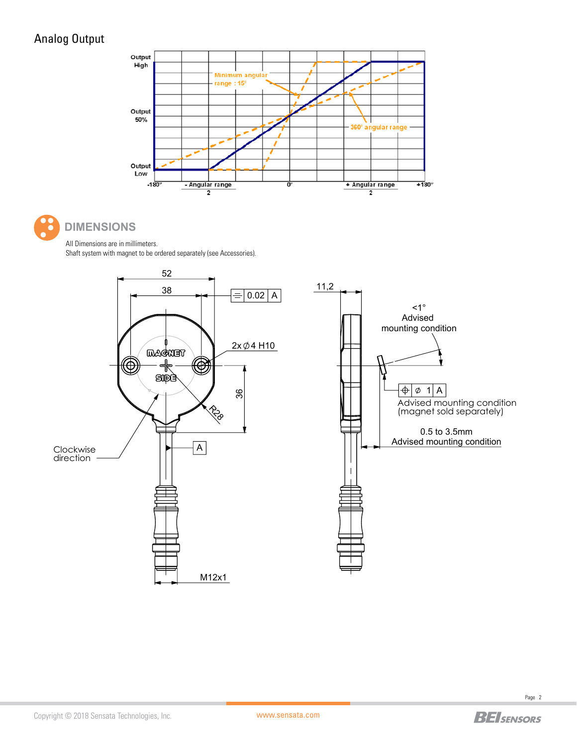## Analog Output





## **DIMENSIONS**

All Dimensions are in millimeters. Shaft system with magnet to be ordered separately (see Accessories).

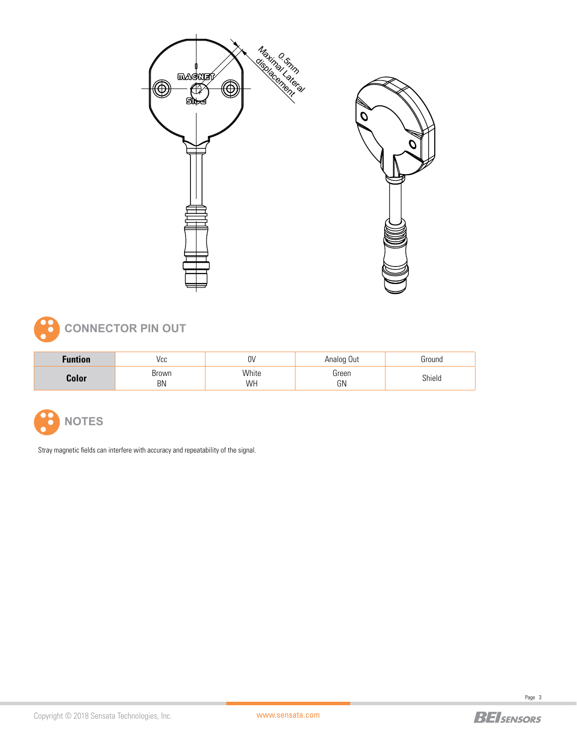



| Funtion | Vcc         | N۱<br>υv    | Analog Out  | Ground |
|---------|-------------|-------------|-------------|--------|
| Color   | Brown<br>BN | White<br>WH | Green<br>GN | Shield |



Stray magnetic fields can interfere with accuracy and repeatability of the signal.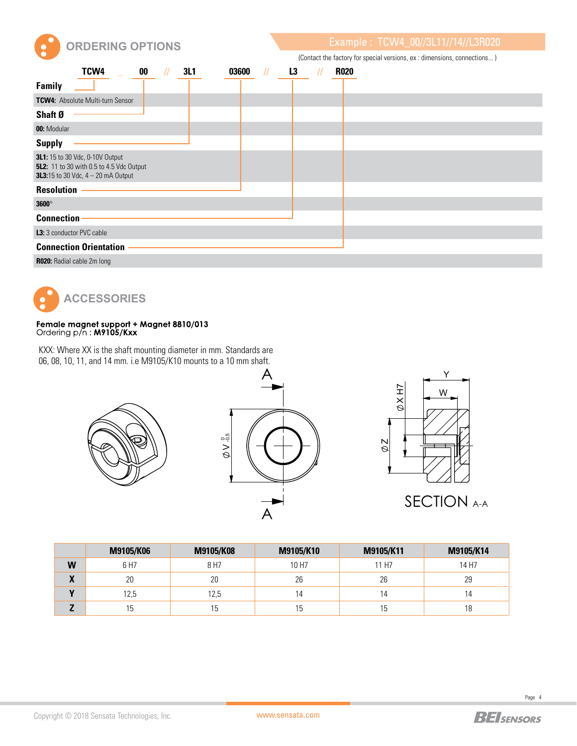

**ORDERING OPTIONS Example : TCW4\_00//3L11//14//L3R020** 

| (Contact the factory for special versions, ex : dimensions, connections) |  |  |
|--------------------------------------------------------------------------|--|--|
|                                                                          |  |  |
|                                                                          |  |  |

| TCW4<br>00                                                                                                                                | 3L1 | 03600 | L <sub>3</sub> | <b>R020</b> |
|-------------------------------------------------------------------------------------------------------------------------------------------|-----|-------|----------------|-------------|
| <b>Family</b>                                                                                                                             |     |       |                |             |
| <b>TCW4:</b> Absolute Multi-turn Sensor                                                                                                   |     |       |                |             |
| Shaft Ø                                                                                                                                   |     |       |                |             |
| 00: Modular                                                                                                                               |     |       |                |             |
| <b>Supply</b>                                                                                                                             |     |       |                |             |
| <b>3L1:</b> 15 to 30 Vdc, 0-10V Output<br><b>5L2:</b> 11 to 30 with 0.5 to 4.5 Vdc Output<br><b>3L3:</b> 15 to 30 Vdc, $4 - 20$ mA Output |     |       |                |             |
| <b>Resolution</b>                                                                                                                         |     |       |                |             |
| $3600^\circ$                                                                                                                              |     |       |                |             |
| <b>Connection</b>                                                                                                                         |     |       |                |             |
| L3: 3 conductor PVC cable                                                                                                                 |     |       |                |             |
| <b>Connection Orientation</b>                                                                                                             |     |       |                |             |
| <b>R020:</b> Radial cable 2m long                                                                                                         |     |       |                |             |



## Female magnet support + Magnet 8810/013<br>Ordering p/n: M9105/Kxx

KXX: Where XX is the shaft mounting diameter in mm. Standards are 06, 08, 10, 11, and 14 mm. i.e M9105/K10 mounts to a 10 mm shaft.







|   | M9105/K06 | M9105/K08 | M9105/K10 | M9105/K11 | M9105/K14 |
|---|-----------|-----------|-----------|-----------|-----------|
| W | 6 H7      | 8 H7      | 10 H7     | 11 H7     | 14 H7     |
| X | 20        | 20        | 26        | 26        | 29        |
|   | 12,5      | 12,5      | 14        | 14        | 4         |
|   | 15        | 15        | l b       | 5 ا       | 18        |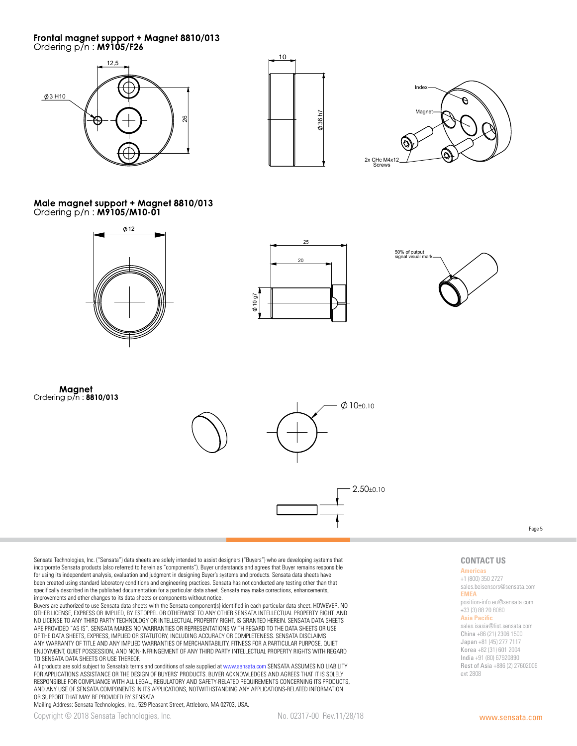## Frontal magnet support + Magnet 8810/013<br>Ordering p/n : M9105/F26







Male magnet support + Magnet 8810/013 Ordering p/n : M9105/M10-01







Magnet Ordering p/n: 8810/013



Page 5

Sensata Technologies, Inc. ("Sensata") data sheets are solely intended to assist designers ("Buyers") who are developing systems that incorporate Sensata products (also referred to herein as "components"). Buyer understands and agrees that Buyer remains responsible for using its independent analysis, evaluation and judgment in designing Buyer's systems and products. Sensata data sheets have been created using standard laboratory conditions and engineering practices. Sensata has not conducted any testing other than that specifically described in the published documentation for a particular data sheet. Sensata may make corrections, enhancements, improvements and other changes to its data sheets or components without notice.

Buyers are authorized to use Sensata data sheets with the Sensata component(s) identified in each particular data sheet. HOWEVER, NO OTHER LICENSE, EXPRESS OR IMPLIED, BY ESTOPPEL OR OTHERWISE TO ANY OTHER SENSATA INTELLECTUAL PROPERTY RIGHT, AND NO LICENSE TO ANY THIRD PARTY TECHNOLOGY OR INTELLECTUAL PROPERTY RIGHT, IS GRANTED HEREIN. SENSATA DATA SHEETS ARE PROVIDED "AS IS". SENSATA MAKES NO WARRANTIES OR REPRESENTATIONS WITH REGARD TO THE DATA SHEETS OR USE OF THE DATA SHEETS, EXPRESS, IMPLIED OR STATUTORY, INCLUDING ACCURACY OR COMPLETENESS. SENSATA DISCLAIMS ANY WARRANTY OF TITLE AND ANY IMPLIED WARRANTIES OF MERCHANTABILITY, FITNESS FOR A PARTICULAR PURPOSE, QUIET ENJOYMENT, QUIET POSSESSION, AND NON-INFRINGEMENT OF ANY THIRD PARTY INTELLECTUAL PROPERTY RIGHTS WITH REGARD TO SENSATA DATA SHEETS OR USE THEREOF.

All products are sold subject to Sensata's terms and conditions of sale supplied at www.sensata.com SENSATA ASSUMES NO LIABILITY FOR APPLICATIONS ASSISTANCE OR THE DESIGN OF BUYERS' PRODUCTS. BUYER ACKNOWLEDGES AND AGREES THAT IT IS SOLELY RESPONSIBLE FOR COMPLIANCE WITH ALL LEGAL, REGULATORY AND SAFETY-RELATED REQUIREMENTS CONCERNING ITS PRODUCTS, AND ANY USE OF SENSATA COMPONENTS IN ITS APPLICATIONS, NOTWITHSTANDING ANY APPLICATIONS-RELATED INFORMATION OR SUPPORT THAT MAY BE PROVIDED BY SENSATA.

Mailing Address: Sensata Technologies, Inc., 529 Pleasant Street, Attleboro, MA 02703, USA.

**CONTACT US Americas** +1 (800) 350 2727 sales.beisensors@sensata.com

position-info.eu@sensata.com +33 (3) 88 20 8080 **Asia Pacific**

sales.isasia@list.sensata.com China +86 (21) 2306 1500 Japan +81 (45) 277 7117 Korea +82 (31) 601 2004 India +91 (80) 67920890 Rest of Asia +886 (2) 27602006

**EMEA**

ext 2808